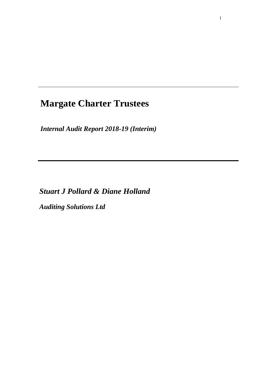# **Margate Charter Trustees**

*Internal Audit Report 2018-19 (Interim)*

*Stuart J Pollard & Diane Holland*

*Auditing Solutions Ltd*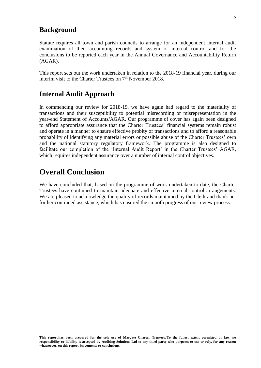## **Background**

Statute requires all town and parish councils to arrange for an independent internal audit examination of their accounting records and system of internal control and for the conclusions to be reported each year in the Annual Governance and Accountability Return (AGAR).

This report sets out the work undertaken in relation to the 2018-19 financial year, during our interim visit to the Charter Trustees on 7<sup>th</sup> November 2018.

## **Internal Audit Approach**

In commencing our review for 2018-19, we have again had regard to the materiality of transactions and their susceptibility to potential misrecording or misrepresentation in the year-end Statement of Accounts/AGAR. Our programme of cover has again been designed to afford appropriate assurance that the Charter Trustees' financial systems remain robust and operate in a manner to ensure effective probity of transactions and to afford a reasonable probability of identifying any material errors or possible abuse of the Charter Trustees' own and the national statutory regulatory framework. The programme is also designed to facilitate our completion of the 'Internal Audit Report' in the Charter Trustees' AGAR, which requires independent assurance over a number of internal control objectives.

# **Overall Conclusion**

We have concluded that, based on the programme of work undertaken to date, the Charter Trustees have continued to maintain adequate and effective internal control arrangements. We are pleased to acknowledge the quality of records maintained by the Clerk and thank her for her continued assistance, which has ensured the smooth progress of our review process.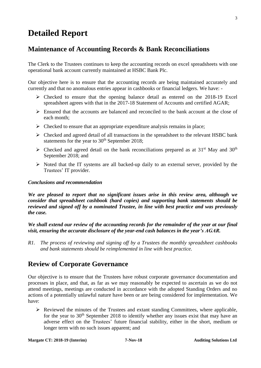# **Detailed Report**

# **Maintenance of Accounting Records & Bank Reconciliations**

The Clerk to the Trustees continues to keep the accounting records on excel spreadsheets with one operational bank account currently maintained at HSBC Bank Plc.

Our objective here is to ensure that the accounting records are being maintained accurately and currently and that no anomalous entries appear in cashbooks or financial ledgers. We have: -

- $\triangleright$  Checked to ensure that the opening balance detail as entered on the 2018-19 Excel spreadsheet agrees with that in the 2017-18 Statement of Accounts and certified AGAR;
- ➢ Ensured that the accounts are balanced and reconciled to the bank account at the close of each month;
- $\triangleright$  Checked to ensure that an appropriate expenditure analysis remains in place;
- ➢ Checked and agreed detail of all transactions in the spreadsheet to the relevant HSBC bank statements for the year to  $30<sup>th</sup>$  September 2018;
- $\triangleright$  Checked and agreed detail on the bank reconciliations prepared as at 31<sup>st</sup> May and 30<sup>th</sup> September 2018; and
- ➢ Noted that the IT systems are all backed-up daily to an external server, provided by the Trustees' IT provider.

#### *Conclusions and recommendation*

*We are pleased to report that no significant issues arise in this review area, although we consider that spreadsheet cashbook (hard copies) and supporting bank statements should be reviewed and signed off by a nominated Trustee, in line with best practice and was previously the case.*

*We shall extend our review of the accounting records for the remainder of the year at our final visit, ensuring the accurate disclosure of the year-end cash balances in the year's AGAR.*

*R1. The process of reviewing and signing off by a Trustees the monthly spreadsheet cashbooks and bank statements should be reimplemented in line with best practice.*

# **Review of Corporate Governance**

Our objective is to ensure that the Trustees have robust corporate governance documentation and processes in place, and that, as far as we may reasonably be expected to ascertain as we do not attend meetings, meetings are conducted in accordance with the adopted Standing Orders and no actions of a potentially unlawful nature have been or are being considered for implementation. We have:

 $\triangleright$  Reviewed the minutes of the Trustees and extant standing Committees, where applicable, for the year to  $30<sup>th</sup>$  September 2018 to identify whether any issues exist that may have an adverse effect on the Trustees' future financial stability, either in the short, medium or longer term with no such issues apparent; and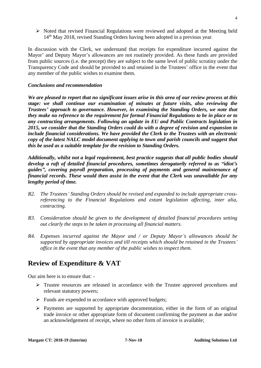➢ Noted that revised Financial Regulations were reviewed and adopted at the Meeting held 14<sup>th</sup> May 2018, revised Standing Orders having been adopted in a previous year.

In discussion with the Clerk, we understand that receipts for expenditure incurred against the Mayor' and Deputy Mayor's allowances are not routinely provided. As these funds are provided from public sources (i.e. the precept) they are subject to the same level of public scrutiny under the Transparency Code and should be provided to and retained in the Trustees' office in the event that any member of the public wishes to examine them.

#### *Conclusions and recommendation*

*We are pleased to report that no significant issues arise in this area of our review process at this stage: we shall continue our examination of minutes at future visits, also reviewing the Trustees' approach to governance. However, in examining the Standing Orders, we note that they make no reference to the requirement for formal Financial Regulations to be in place or to any contracting arrangements. Following an update in EU and Public Contracts legislation in 2015, we consider that the Standing Orders could do with a degree of revision and expansion to include financial considerations. We have provided the Clerk to the Trustees with an electronic copy of the latest NALC model document applying to town and parish councils and suggest that this be used as a suitable template for the revision to Standing Orders.*

*Additionally, whilst not a legal requirement, best practice suggests that all public bodies should develop a raft of detailed financial procedures, sometimes derogatorily referred to as "idiot's guides", covering payroll preparation, processing of payments and general maintenance of financial records. These would then assist in the event that the Clerk was unavailable for any lengthy period of time.*

- *R2. The Trustees' Standing Orders should be revised and expanded to include appropriate crossreferencing to the Financial Regulations and extant legislation affecting, inter alia, contracting.*
- *R3. Consideration should be given to the development of detailed financial procedures setting out clearly the steps to be taken in processing all financial matters.*
- *R4. Expenses incurred against the Mayor and / or Deputy Mayor's allowances should be supported by appropriate invoices and till receipts which should be retained in the Trustees' office in the event that any member of the public wishes to inspect them.*

# **Review of Expenditure & VAT**

Our aim here is to ensure that: -

- ➢ Trustee resources are released in accordance with the Trustee approved procedures and relevant statutory powers;
- $\triangleright$  Funds are expended in accordance with approved budgets;
- $\triangleright$  Payments are supported by appropriate documentation, either in the form of an original trade invoice or other appropriate form of document confirming the payment as due and/or an acknowledgement of receipt, where no other form of invoice is available;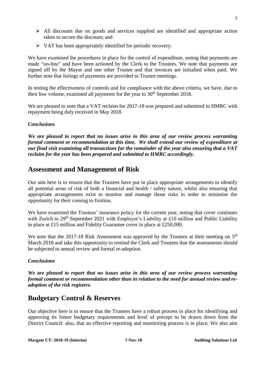- ➢ All discounts due on goods and services supplied are identified and appropriate action taken to secure the discount; and
- $\triangleright$  VAT has been appropriately identified for periodic recovery.

We have examined the procedures in place for the control of expenditure, noting that payments are made "on-line" and have been actioned by the Clerk to the Trustees. We note that payments are signed off by the Mayor and one other Trustee and that invoices are initialled when paid. We further note that listings of payments are provided to Trustee meetings.

In testing the effectiveness of controls and for compliance with the above criteria, we have, due to their low volume, examined all payments for the year to  $30<sup>th</sup>$  September 2018.

We are pleased to note that a VAT reclaim for 2017-18 was prepared and submitted to HMRC with repayment being duly received in May 2018.

#### *Conclusions*

*We are pleased to report that no issues arise in this area of our review process warranting formal comment or recommendation at this time. We shall extend our review of expenditure at our final visit examining all transactions for the remainder of the year also ensuring that a VAT reclaim for the year has been prepared and submitted to HMRC accordingly.*

## **Assessment and Management of Risk**

Our aim here is to ensure that the Trustees have put in place appropriate arrangements to identify all potential areas of risk of both a financial and health / safety nature, whilst also ensuring that appropriate arrangements exist to monitor and manage those risks in order to minimise the opportunity for their coming to fruition.

We have examined the Trustees' insurance policy for the current year, noting that cover continues with Zurich to 29<sup>th</sup> September 2021 with Employer's Liability at £10 million and Public Liability in place at £15 million and Fidelity Guarantee cover in place at £250,000.

We note that the 2017-18 Risk Assessment was approved by the Trustees at their meeting on  $5<sup>th</sup>$ March 2018 and take this opportunity to remind the Clerk and Trustees that the assessments should be subjected to annual review and formal re-adoption.

#### *Conclusions*

*We are pleased to report that no issues arise in this area of our review process warranting formal comment or recommendation other than in relation to the need for annual review and readoption of the risk registers.*

# **Budgetary Control & Reserves**

Our objective here is to ensure that the Trustees have a robust process in place for identifying and approving its future budgetary requirements and level of precept to be drawn down from the District Council: also, that an effective reporting and monitoring process is in place; We also aim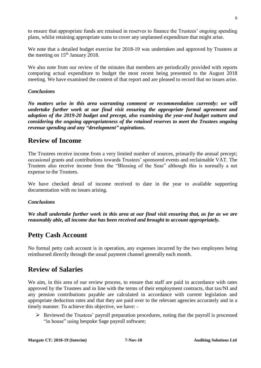plans, whilst retaining appropriate sums to cover any unplanned expenditure that might arise.

We note that a detailed budget exercise for 2018-19 was undertaken and approved by Trustees at the meeting on  $15<sup>th</sup>$  January 2018.

to ensure that appropriate funds are retained in reserves to finance the Trustees' ongoing spending

We also note from our review of the minutes that members are periodically provided with reports comparing actual expenditure to budget the most recent being presented to the August 2018 meeting. We have examined the content of that report and are pleased to record that no issues arise.

#### *Conclusions*

*No matters arise in this area warranting comment or recommendation currently: we will undertake further work at our final visit ensuring the appropriate formal agreement and adoption of the 2019-20 budget and precept, also examining the year-end budget outturn and considering the ongoing appropriateness of the retained reserves to meet the Trustees ongoing revenue spending and any "development" aspirations.*

### **Review of Income**

The Trustees receive income from a very limited number of sources, primarily the annual precept; occasional grants and contributions towards Trustees' sponsored events and reclaimable VAT. The Trustees also receive income from the "Blessing of the Seas" although this is normally a net expense to the Trustees.

We have checked detail of income received to date in the year to available supporting documentation with no issues arising.

#### *Conclusions*

*We shall undertake further work in this area at our final visit ensuring that, as far as we are reasonably able, all income due has been received and brought to account appropriately.*

## **Petty Cash Account**

No formal petty cash account is in operation, any expenses incurred by the two employees being reimbursed directly through the usual payment channel generally each month.

## **Review of Salaries**

We aim, in this area of our review process, to ensure that staff are paid in accordance with rates approved by the Trustees and in line with the terms of their employment contracts, that tax/NI and any pension contributions payable are calculated in accordance with current legislation and appropriate deduction rates and that they are paid over to the relevant agencies accurately and in a timely manner. To achieve this objective, we have: -

➢ Reviewed the Trustees' payroll preparation procedures, noting that the payroll is processed "in house" using bespoke Sage payroll software;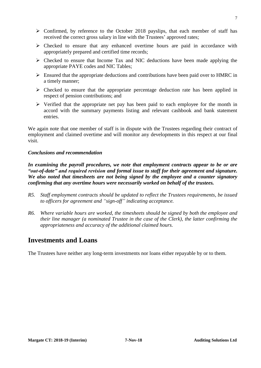- received the correct gross salary in line with the Trustees' approved rates;  $\triangleright$  Checked to ensure that any enhanced overtime hours are paid in accordance with
	- appropriately prepared and certified time records;

 $\triangleright$  Confirmed, by reference to the October 2018 payslips, that each member of staff has

- $\triangleright$  Checked to ensure that Income Tax and NIC deductions have been made applying the appropriate PAYE codes and NIC Tables;
- ➢ Ensured that the appropriate deductions and contributions have been paid over to HMRC in a timely manner;
- $\triangleright$  Checked to ensure that the appropriate percentage deduction rate has been applied in respect of pension contributions; and
- ➢ Verified that the appropriate net pay has been paid to each employee for the month in accord with the summary payments listing and relevant cashbook and bank statement entries.

We again note that one member of staff is in dispute with the Trustees regarding their contract of employment and claimed overtime and will monitor any developments in this respect at our final visit.

#### *Conclusions and recommendation*

*In examining the payroll procedures, we note that employment contracts appear to be or are "out-of-date" and required revision and formal issue to staff for their agreement and signature. We also noted that timesheets are not being signed by the employee and a counter signatory confirming that any overtime hours were necessarily worked on behalf of the trustees.*

- *R5. Staff employment contracts should be updated to reflect the Trustees requirements, be issued to officers for agreement and "sign-off" indicating acceptance.*
- *R6. Where variable hours are worked, the timesheets should be signed by both the employee and their line manager (a nominated Trustee in the case of the Clerk), the latter confirming the appropriateness and accuracy of the additional claimed hours.*

## **Investments and Loans**

The Trustees have neither any long-term investments nor loans either repayable by or to them.